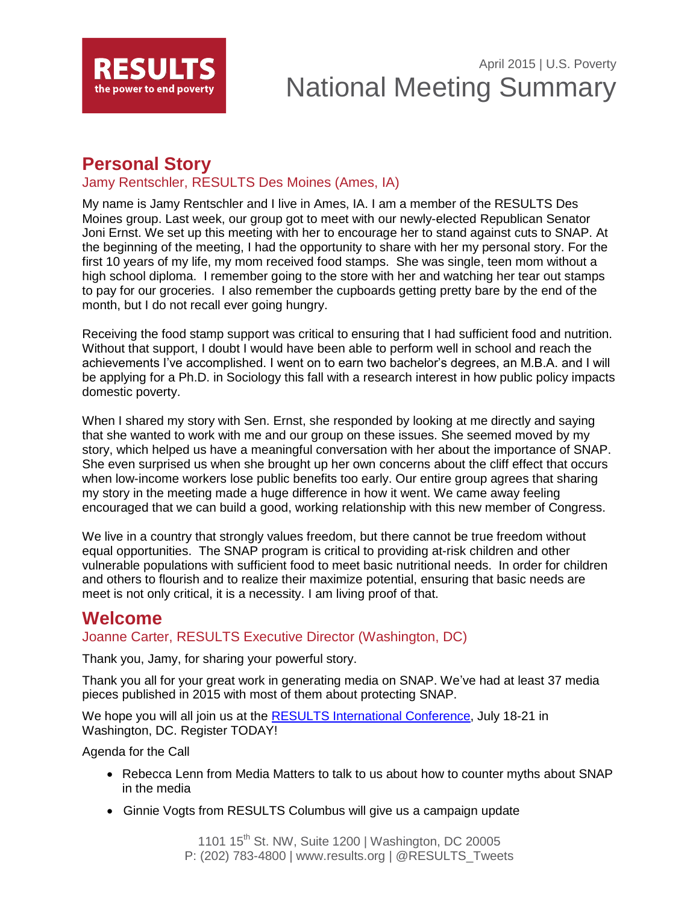

# April 2015 | U.S. Poverty National Meeting Summary

## **Personal Story**

## Jamy Rentschler, RESULTS Des Moines (Ames, IA)

My name is Jamy Rentschler and I live in Ames, IA. I am a member of the RESULTS Des Moines group. Last week, our group got to meet with our newly-elected Republican Senator Joni Ernst. We set up this meeting with her to encourage her to stand against cuts to SNAP. At the beginning of the meeting, I had the opportunity to share with her my personal story. For the first 10 years of my life, my mom received food stamps. She was single, teen mom without a high school diploma. I remember going to the store with her and watching her tear out stamps to pay for our groceries. I also remember the cupboards getting pretty bare by the end of the month, but I do not recall ever going hungry.

Receiving the food stamp support was critical to ensuring that I had sufficient food and nutrition. Without that support, I doubt I would have been able to perform well in school and reach the achievements I've accomplished. I went on to earn two bachelor's degrees, an M.B.A. and I will be applying for a Ph.D. in Sociology this fall with a research interest in how public policy impacts domestic poverty.

When I shared my story with Sen. Ernst, she responded by looking at me directly and saying that she wanted to work with me and our group on these issues. She seemed moved by my story, which helped us have a meaningful conversation with her about the importance of SNAP. She even surprised us when she brought up her own concerns about the cliff effect that occurs when low-income workers lose public benefits too early. Our entire group agrees that sharing my story in the meeting made a huge difference in how it went. We came away feeling encouraged that we can build a good, working relationship with this new member of Congress.

We live in a country that strongly values freedom, but there cannot be true freedom without equal opportunities. The SNAP program is critical to providing at-risk children and other vulnerable populations with sufficient food to meet basic nutritional needs. In order for children and others to flourish and to realize their maximize potential, ensuring that basic needs are meet is not only critical, it is a necessity. I am living proof of that.

## **Welcome**

#### Joanne Carter, RESULTS Executive Director (Washington, DC)

Thank you, Jamy, for sharing your powerful story.

Thank you all for your great work in generating media on SNAP. We've had at least 37 media pieces published in 2015 with most of them about protecting SNAP.

We hope you will all join us at the [RESULTS International Conference,](http://www.cvent.com/events/results-2015-international-conference/event-summary-6e6e2b145a02421a805078305ffdcb1f.aspx?i=56691988-9e64-4a4d-a50c-becd3e82afa3) July 18-21 in Washington, DC. Register TODAY!

Agenda for the Call

- Rebecca Lenn from Media Matters to talk to us about how to counter myths about SNAP in the media
- Ginnie Vogts from RESULTS Columbus will give us a campaign update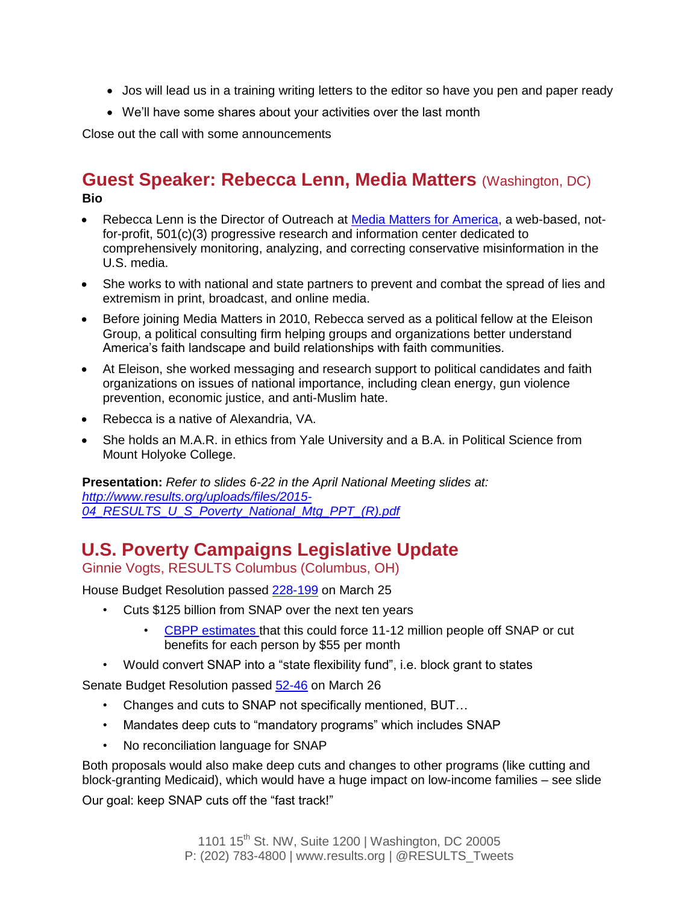- Jos will lead us in a training writing letters to the editor so have you pen and paper ready
- We'll have some shares about your activities over the last month

Close out the call with some announcements

## **Guest Speaker: Rebecca Lenn, Media Matters** (Washington, DC) **Bio**

- Rebecca Lenn is the Director of Outreach at [Media Matters for America,](http://mediamatters.org/) a web-based, notfor-profit, 501(c)(3) progressive research and information center dedicated to comprehensively monitoring, analyzing, and correcting conservative misinformation in the U.S. media.
- She works to with national and state partners to prevent and combat the spread of lies and extremism in print, broadcast, and online media.
- Before joining Media Matters in 2010, Rebecca served as a political fellow at the Eleison Group, a political consulting firm helping groups and organizations better understand America's faith landscape and build relationships with faith communities.
- At Eleison, she worked messaging and research support to political candidates and faith organizations on issues of national importance, including clean energy, gun violence prevention, economic justice, and anti-Muslim hate.
- Rebecca is a native of Alexandria, VA.
- She holds an M.A.R. in ethics from Yale University and a B.A. in Political Science from Mount Holyoke College.

**Presentation:** *Refer to slides 6-22 in the April National Meeting slides at: [http://www.results.org/uploads/files/2015-](http://www.results.org/uploads/files/2015-04_RESULTS_U_S_Poverty_National_Mtg_PPT_(R).pdf) [04\\_RESULTS\\_U\\_S\\_Poverty\\_National\\_Mtg\\_PPT\\_\(R\).pdf](http://www.results.org/uploads/files/2015-04_RESULTS_U_S_Poverty_National_Mtg_PPT_(R).pdf)*

# **U.S. Poverty Campaigns Legislative Update**

Ginnie Vogts, RESULTS Columbus (Columbus, OH)

House Budget Resolution passed [228-199](http://www.capwiz.com/results/vote.xc/?votenum=142&chamber=H&congress=1141&voteid=64698846&state=US) on March 25

- Cuts \$125 billion from SNAP over the next ten years
	- [CBPP estimates t](http://www.cbpp.org/cms/?fa=view&id=5287)hat this could force 11-12 million people off SNAP or cut benefits for each person by \$55 per month
- Would convert SNAP into a "state flexibility fund", i.e. block grant to states

Senate Budget Resolution passed [52-46](http://www.capwiz.com/results/vote.xc/?votenum=135&chamber=S&congress=1141&voteid=64698801&state=US) on March 26

- Changes and cuts to SNAP not specifically mentioned, BUT…
- Mandates deep cuts to "mandatory programs" which includes SNAP
- No reconciliation language for SNAP

Both proposals would also make deep cuts and changes to other programs (like cutting and block-granting Medicaid), which would have a huge impact on low-income families – see slide

Our goal: keep SNAP cuts off the "fast track!"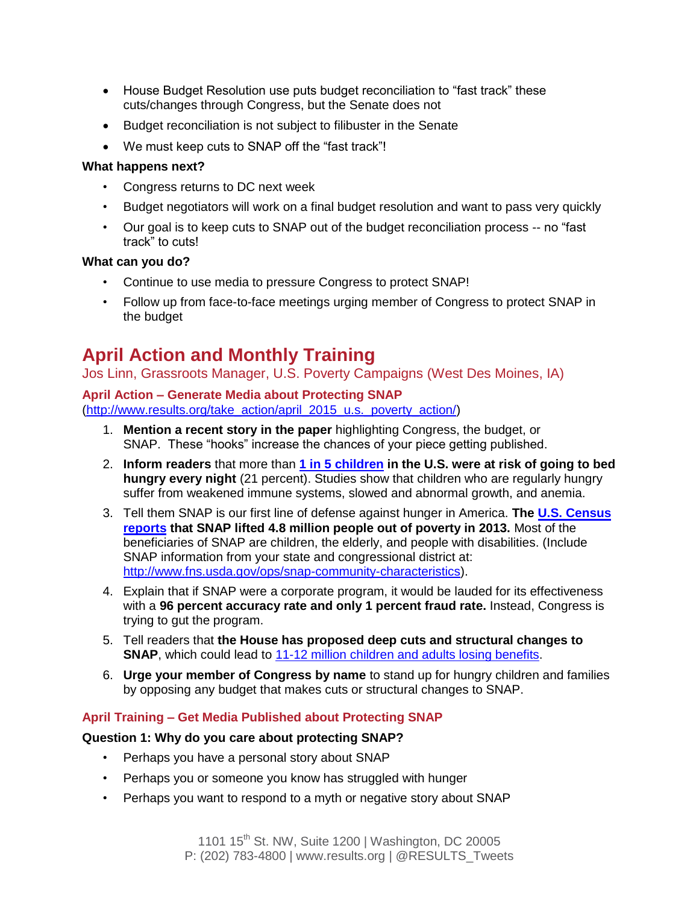- House Budget Resolution use puts budget reconciliation to "fast track" these cuts/changes through Congress, but the Senate does not
- Budget reconciliation is not subject to filibuster in the Senate
- We must keep cuts to SNAP off the "fast track"!

#### **What happens next?**

- Congress returns to DC next week
- Budget negotiators will work on a final budget resolution and want to pass very quickly
- Our goal is to keep cuts to SNAP out of the budget reconciliation process -- no "fast track" to cuts!

#### **What can you do?**

- Continue to use media to pressure Congress to protect SNAP!
- Follow up from face-to-face meetings urging member of Congress to protect SNAP in the budget

## **April Action and Monthly Training**

Jos Linn, Grassroots Manager, U.S. Poverty Campaigns (West Des Moines, IA)

#### **April Action – Generate Media about Protecting SNAP** [\(http://www.results.org/take\\_action/april\\_2015\\_u.s.\\_poverty\\_action/\)](http://www.results.org/take_action/april_2015_u.s._poverty_action/)

- 1. **Mention a recent story in the paper** highlighting Congress, the budget, or SNAP. These "hooks" increase the chances of your piece getting published.
- 2. **Inform readers** that more than **[1 in 5 children](http://frac.org/reports-and-resources/hunger-and-poverty/) in the U.S. were at risk of going to bed hungry every night** (21 percent). Studies show that children who are regularly hungry suffer from weakened immune systems, slowed and abnormal growth, and anemia.
- 3. Tell them SNAP is our first line of defense against hunger in America. **The [U.S. Census](http://www.census.gov/content/dam/Census/newsroom/releases/2014/cb14-188_spm.pdf?eml=gd&utm_medium=email&utm_source=govdelivery)  [reports](http://www.census.gov/content/dam/Census/newsroom/releases/2014/cb14-188_spm.pdf?eml=gd&utm_medium=email&utm_source=govdelivery) that SNAP lifted 4.8 million people out of poverty in 2013.** Most of the beneficiaries of SNAP are children, the elderly, and people with disabilities. (Include SNAP information from your state and congressional district at: [http://www.fns.usda.gov/ops/snap-community-characteristics\)](http://www.fns.usda.gov/ops/snap-community-characteristics).
- 4. Explain that if SNAP were a corporate program, it would be lauded for its effectiveness with a **96 percent accuracy rate and only 1 percent fraud rate.** Instead, Congress is trying to gut the program.
- 5. Tell readers that **the House has proposed deep cuts and structural changes to SNAP**, which could lead to [11-12 million children and adults losing benefits.](http://www.cbpp.org/cms/index.cfm?fa=view&id=5287)
- 6. **Urge your member of Congress by name** to stand up for hungry children and families by opposing any budget that makes cuts or structural changes to SNAP.

#### **April Training – Get Media Published about Protecting SNAP**

#### **Question 1: Why do you care about protecting SNAP?**

- Perhaps you have a personal story about SNAP
- Perhaps you or someone you know has struggled with hunger
- Perhaps you want to respond to a myth or negative story about SNAP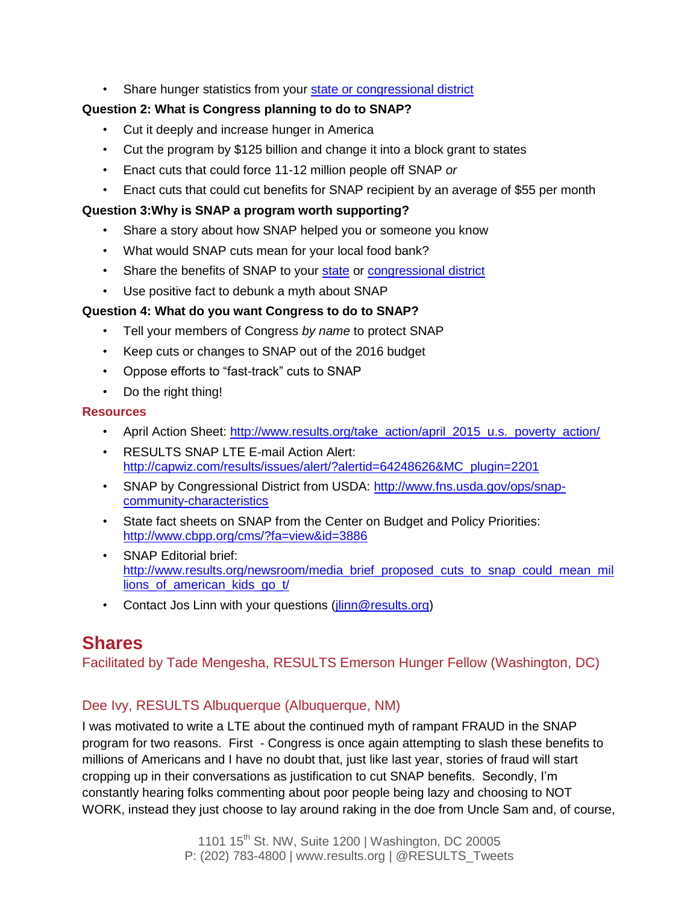• Share hunger statistics from your [state or congressional district](http://www.talkpoverty.org/poverty)

#### **Question 2: What is Congress planning to do to SNAP?**

- Cut it deeply and increase hunger in America
- Cut the program by \$125 billion and change it into a block grant to states
- Enact cuts that could force 11-12 million people off SNAP *or*
- Enact cuts that could cut benefits for SNAP recipient by an average of \$55 per month

#### **Question 3:Why is SNAP a program worth supporting?**

- Share a story about how SNAP helped you or someone you know
- What would SNAP cuts mean for your local food bank?
- Share the benefits of SNAP to your [state](http://www.cbpp.org/cms/?fa=view&id=3886) or [congressional district](http://www.fns.usda.gov/ops/snap-community-characteristics)
- Use positive fact to debunk a myth about SNAP

### **Question 4: What do you want Congress to do to SNAP?**

- Tell your members of Congress *by name* to protect SNAP
- Keep cuts or changes to SNAP out of the 2016 budget
- Oppose efforts to "fast-track" cuts to SNAP
- Do the right thing!

#### **Resources**

- April Action Sheet: [http://www.results.org/take\\_action/april\\_2015\\_u.s.\\_poverty\\_action/](http://www.results.org/take_action/april_2015_u.s._poverty_action/)
- RESULTS SNAP LTE E-mail Action Alert: [http://capwiz.com/results/issues/alert/?alertid=64248626&MC\\_plugin=2201](http://capwiz.com/results/issues/alert/?alertid=64248626&MC_plugin=2201)
- SNAP by Congressional District from USDA: [http://www.fns.usda.gov/ops/snap](http://www.fns.usda.gov/ops/snap-community-characteristics)[community-characteristics](http://www.fns.usda.gov/ops/snap-community-characteristics)
- State fact sheets on SNAP from the Center on Budget and Policy Priorities: <http://www.cbpp.org/cms/?fa=view&id=3886>
- SNAP Editorial brief: [http://www.results.org/newsroom/media\\_brief\\_proposed\\_cuts\\_to\\_snap\\_could\\_mean\\_mil](http://www.results.org/newsroom/media_brief_proposed_cuts_to_snap_could_mean_millions_of_american_kids_go_t/) lions of american kids go t/
- Contact Jos Linn with your questions (*jlinn@results.org*)

## **Shares**

Facilitated by Tade Mengesha, RESULTS Emerson Hunger Fellow (Washington, DC)

## Dee Ivy, RESULTS Albuquerque (Albuquerque, NM)

I was motivated to write a LTE about the continued myth of rampant FRAUD in the SNAP program for two reasons. First - Congress is once again attempting to slash these benefits to millions of Americans and I have no doubt that, just like last year, stories of fraud will start cropping up in their conversations as justification to cut SNAP benefits. Secondly, I'm constantly hearing folks commenting about poor people being lazy and choosing to NOT WORK, instead they just choose to lay around raking in the doe from Uncle Sam and, of course,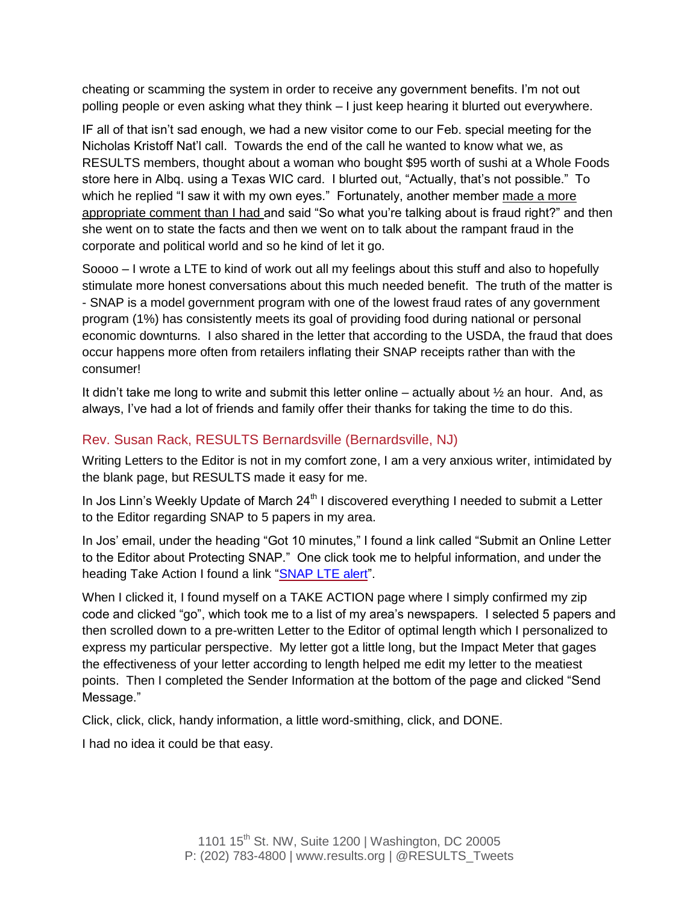cheating or scamming the system in order to receive any government benefits. I'm not out polling people or even asking what they think – I just keep hearing it blurted out everywhere.

IF all of that isn't sad enough, we had a new visitor come to our Feb. special meeting for the Nicholas Kristoff Nat'l call. Towards the end of the call he wanted to know what we, as RESULTS members, thought about a woman who bought \$95 worth of sushi at a Whole Foods store here in Albq. using a Texas WIC card. I blurted out, "Actually, that's not possible." To which he replied "I saw it with my own eyes." Fortunately, another member made a more appropriate comment than I had and said "So what you're talking about is fraud right?" and then she went on to state the facts and then we went on to talk about the rampant fraud in the corporate and political world and so he kind of let it go.

Soooo – I wrote a LTE to kind of work out all my feelings about this stuff and also to hopefully stimulate more honest conversations about this much needed benefit. The truth of the matter is - SNAP is a model government program with one of the lowest fraud rates of any government program (1%) has consistently meets its goal of providing food during national or personal economic downturns. I also shared in the letter that according to the USDA, the fraud that does occur happens more often from retailers inflating their SNAP receipts rather than with the consumer!

It didn't take me long to write and submit this letter online – actually about  $\frac{1}{2}$  an hour. And, as always, I've had a lot of friends and family offer their thanks for taking the time to do this.

### Rev. Susan Rack, RESULTS Bernardsville (Bernardsville, NJ)

Writing Letters to the Editor is not in my comfort zone, I am a very anxious writer, intimidated by the blank page, but RESULTS made it easy for me.

In Jos Linn's Weekly Update of March 24<sup>th</sup> I discovered everything I needed to submit a Letter to the Editor regarding SNAP to 5 papers in my area.

In Jos' email, under the heading "Got 10 minutes," I found a link called "Submit an Online Letter to the Editor about Protecting SNAP." One click took me to helpful information, and under the heading Take Action I found a link ["SNAP LTE alert"](http://capwiz.com/results/issues/alert/?alertid=64248626&MC_plugin=2201).

When I clicked it, I found myself on a TAKE ACTION page where I simply confirmed my zip code and clicked "go", which took me to a list of my area's newspapers. I selected 5 papers and then scrolled down to a pre-written Letter to the Editor of optimal length which I personalized to express my particular perspective. My letter got a little long, but the Impact Meter that gages the effectiveness of your letter according to length helped me edit my letter to the meatiest points. Then I completed the Sender Information at the bottom of the page and clicked "Send Message."

Click, click, click, handy information, a little word-smithing, click, and DONE.

I had no idea it could be that easy.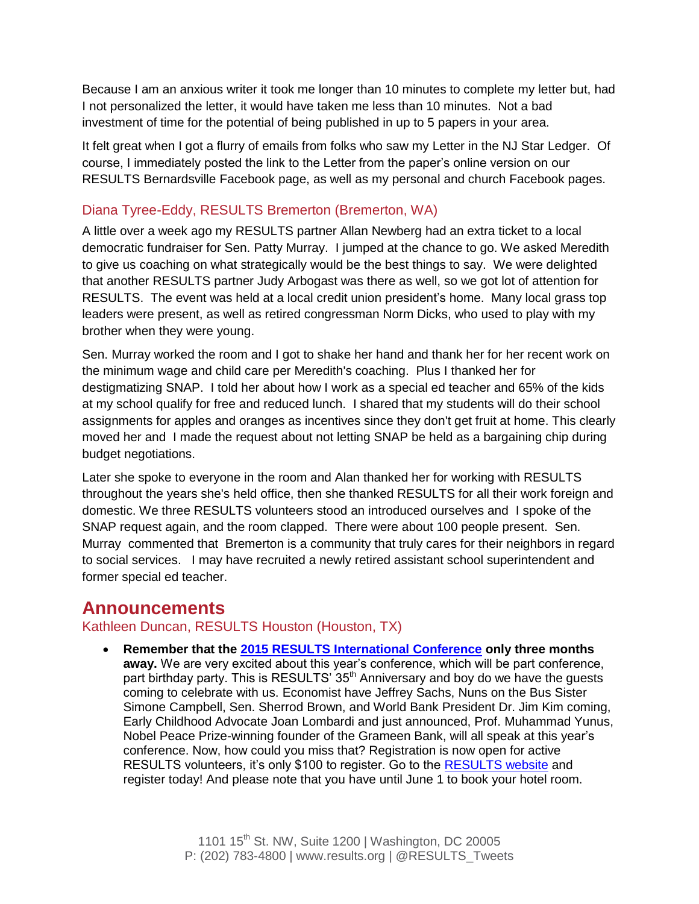Because I am an anxious writer it took me longer than 10 minutes to complete my letter but, had I not personalized the letter, it would have taken me less than 10 minutes. Not a bad investment of time for the potential of being published in up to 5 papers in your area.

It felt great when I got a flurry of emails from folks who saw my Letter in the NJ Star Ledger. Of course, I immediately posted the link to the Letter from the paper's online version on our RESULTS Bernardsville Facebook page, as well as my personal and church Facebook pages.

### Diana Tyree-Eddy, RESULTS Bremerton (Bremerton, WA)

A little over a week ago my RESULTS partner Allan Newberg had an extra ticket to a local democratic fundraiser for Sen. Patty Murray. I jumped at the chance to go. We asked Meredith to give us coaching on what strategically would be the best things to say. We were delighted that another RESULTS partner Judy Arbogast was there as well, so we got lot of attention for RESULTS. The event was held at a local credit union president's home. Many local grass top leaders were present, as well as retired congressman Norm Dicks, who used to play with my brother when they were young.

Sen. Murray worked the room and I got to shake her hand and thank her for her recent work on the minimum wage and child care per Meredith's coaching. Plus I thanked her for destigmatizing SNAP. I told her about how I work as a special ed teacher and 65% of the kids at my school qualify for free and reduced lunch. I shared that my students will do their school assignments for apples and oranges as incentives since they don't get fruit at home. This clearly moved her and I made the request about not letting SNAP be held as a bargaining chip during budget negotiations.

Later she spoke to everyone in the room and Alan thanked her for working with RESULTS throughout the years she's held office, then she thanked RESULTS for all their work foreign and domestic. We three RESULTS volunteers stood an introduced ourselves and I spoke of the SNAP request again, and the room clapped. There were about 100 people present. Sen. Murray commented that Bremerton is a community that truly cares for their neighbors in regard to social services. I may have recruited a newly retired assistant school superintendent and former special ed teacher.

## **Announcements**

### Kathleen Duncan, RESULTS Houston (Houston, TX)

 **Remember that the [2015 RESULTS International Conference](http://www.cvent.com/events/results-2015-international-conference/event-summary-6e6e2b145a02421a805078305ffdcb1f.aspx?i=56691988-9e64-4a4d-a50c-becd3e82afa3) only three months**  away. We are very excited about this year's conference, which will be part conference, part birthday party. This is RESULTS' 35<sup>th</sup> Anniversary and boy do we have the guests coming to celebrate with us. Economist have Jeffrey Sachs, Nuns on the Bus Sister Simone Campbell, Sen. Sherrod Brown, and World Bank President Dr. Jim Kim coming, Early Childhood Advocate Joan Lombardi and just announced, Prof. Muhammad Yunus, Nobel Peace Prize-winning founder of the Grameen Bank, will all speak at this year's conference. Now, how could you miss that? Registration is now open for active RESULTS volunteers, it's only \$100 to register. Go to the [RESULTS website](http://www.results.org/events/IC_2015/) and register today! And please note that you have until June 1 to book your hotel room.